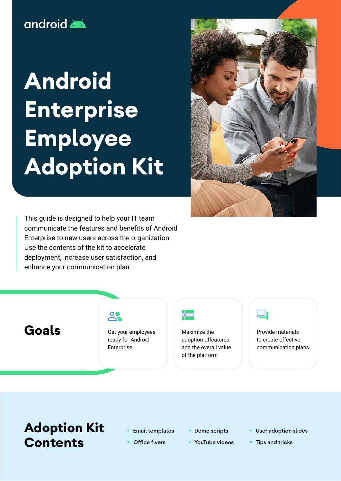## android

# **Android Enterprise Employee Adoption Kit**



This guide is designed to help your IT team communicate the features and benefits of Android Enterprise to new users across the organization. Use the contents of the kit to accelerate deployment, increase user satisfaction, and enhance your communication plan.

**Goals**

### $\mathbf{R}$

Get your employees ready for Android Enterprise



Maximize the adoption offeatures and the overall value of the platform



Provide materials to create effective communication plans

## **Adoption Kit Contents**

- Email templates
- **Office flyers**
- Demo scripts
- YouTube videos
- User adoption slides
- Tips and tricks